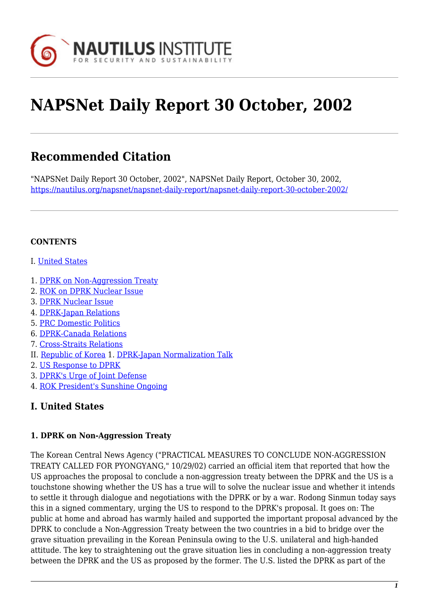

# **NAPSNet Daily Report 30 October, 2002**

# **Recommended Citation**

"NAPSNet Daily Report 30 October, 2002", NAPSNet Daily Report, October 30, 2002, <https://nautilus.org/napsnet/napsnet-daily-report/napsnet-daily-report-30-october-2002/>

## **CONTENTS**

- I. [United States](#page-0-0)
- 1. [DPRK on Non-Aggression Treaty](#page-0-1)
- 2. [ROK on DPRK Nuclear Issue](#page-1-0)
- 3. [DPRK Nuclear Issue](#page-1-1)
- 4. [DPRK-Japan Relations](#page-1-2)
- 5. [PRC Domestic Politics](#page-2-0)
- 6. [DPRK-Canada Relations](#page-2-1)
- 7. [Cross-Straits Relations](#page-2-2)
- II. [Republic of Korea](#page-3-0) 1. [DPRK-Japan Normalization Talk](#page-3-1)
- 2. [US Response to DPRK](#page-3-2)
- 3. [DPRK's Urge of Joint Defense](#page-3-3)
- 4. [ROK President's Sunshine Ongoing](#page-4-0)

# <span id="page-0-0"></span>**I. United States**

#### <span id="page-0-1"></span>**1. DPRK on Non-Aggression Treaty**

The Korean Central News Agency ("PRACTICAL MEASURES TO CONCLUDE NON-AGGRESSION TREATY CALLED FOR PYONGYANG," 10/29/02) carried an official item that reported that how the US approaches the proposal to conclude a non-aggression treaty between the DPRK and the US is a touchstone showing whether the US has a true will to solve the nuclear issue and whether it intends to settle it through dialogue and negotiations with the DPRK or by a war. Rodong Sinmun today says this in a signed commentary, urging the US to respond to the DPRK's proposal. It goes on: The public at home and abroad has warmly hailed and supported the important proposal advanced by the DPRK to conclude a Non-Aggression Treaty between the two countries in a bid to bridge over the grave situation prevailing in the Korean Peninsula owing to the U.S. unilateral and high-handed attitude. The key to straightening out the grave situation lies in concluding a non-aggression treaty between the DPRK and the US as proposed by the former. The U.S. listed the DPRK as part of the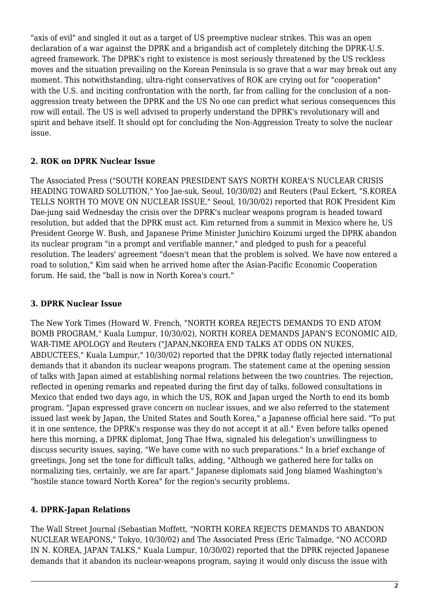"axis of evil" and singled it out as a target of US preemptive nuclear strikes. This was an open declaration of a war against the DPRK and a brigandish act of completely ditching the DPRK-U.S. agreed framework. The DPRK's right to existence is most seriously threatened by the US reckless moves and the situation prevailing on the Korean Peninsula is so grave that a war may break out any moment. This notwithstanding, ultra-right conservatives of ROK are crying out for "cooperation" with the U.S. and inciting confrontation with the north, far from calling for the conclusion of a nonaggression treaty between the DPRK and the US No one can predict what serious consequences this row will entail. The US is well advised to properly understand the DPRK's revolutionary will and spirit and behave itself. It should opt for concluding the Non-Aggression Treaty to solve the nuclear issue.

### <span id="page-1-0"></span>**2. ROK on DPRK Nuclear Issue**

The Associated Press ("SOUTH KOREAN PRESIDENT SAYS NORTH KOREA'S NUCLEAR CRISIS HEADING TOWARD SOLUTION," Yoo Jae-suk, Seoul, 10/30/02) and Reuters (Paul Eckert, "S.KOREA TELLS NORTH TO MOVE ON NUCLEAR ISSUE," Seoul, 10/30/02) reported that ROK President Kim Dae-jung said Wednesday the crisis over the DPRK's nuclear weapons program is headed toward resolution, but added that the DPRK must act. Kim returned from a summit in Mexico where he, US President George W. Bush, and Japanese Prime Minister Junichiro Koizumi urged the DPRK abandon its nuclear program "in a prompt and verifiable manner," and pledged to push for a peaceful resolution. The leaders' agreement "doesn't mean that the problem is solved. We have now entered a road to solution," Kim said when he arrived home after the Asian-Pacific Economic Cooperation forum. He said, the "ball is now in North Korea's court."

# <span id="page-1-1"></span>**3. DPRK Nuclear Issue**

The New York Times (Howard W. French, "NORTH KOREA REJECTS DEMANDS TO END ATOM BOMB PROGRAM," Kuala Lumpur, 10/30/02), NORTH KOREA DEMANDS JAPAN'S ECONOMIC AID, WAR-TIME APOLOGY and Reuters ("JAPAN,NKOREA END TALKS AT ODDS ON NUKES, ABDUCTEES," Kuala Lumpur," 10/30/02) reported that the DPRK today flatly rejected international demands that it abandon its nuclear weapons program. The statement came at the opening session of talks with Japan aimed at establishing normal relations between the two countries. The rejection, reflected in opening remarks and repeated during the first day of talks, followed consultations in Mexico that ended two days ago, in which the US, ROK and Japan urged the North to end its bomb program. "Japan expressed grave concern on nuclear issues, and we also referred to the statement issued last week by Japan, the United States and South Korea," a Japanese official here said. "To put it in one sentence, the DPRK's response was they do not accept it at all." Even before talks opened here this morning, a DPRK diplomat, Jong Thae Hwa, signaled his delegation's unwillingness to discuss security issues, saying, "We have come with no such preparations." In a brief exchange of greetings, Jong set the tone for difficult talks, adding, "Although we gathered here for talks on normalizing ties, certainly, we are far apart." Japanese diplomats said Jong blamed Washington's "hostile stance toward North Korea" for the region's security problems.

### <span id="page-1-2"></span>**4. DPRK-Japan Relations**

The Wall Street Journal (Sebastian Moffett, "NORTH KOREA REJECTS DEMANDS TO ABANDON NUCLEAR WEAPONS," Tokyo, 10/30/02) and The Associated Press (Eric Talmadge, "NO ACCORD IN N. KOREA, JAPAN TALKS," Kuala Lumpur, 10/30/02) reported that the DPRK rejected Japanese demands that it abandon its nuclear-weapons program, saying it would only discuss the issue with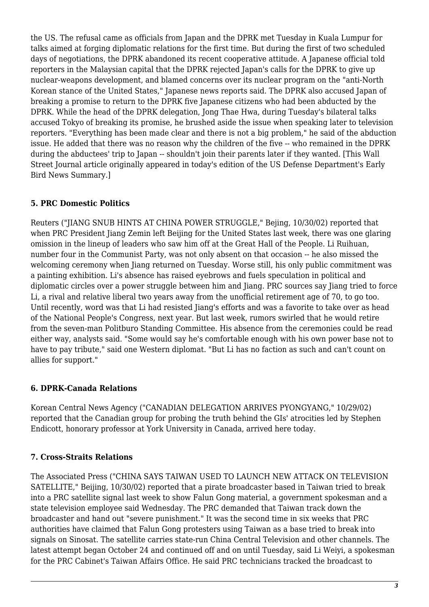the US. The refusal came as officials from Japan and the DPRK met Tuesday in Kuala Lumpur for talks aimed at forging diplomatic relations for the first time. But during the first of two scheduled days of negotiations, the DPRK abandoned its recent cooperative attitude. A Japanese official told reporters in the Malaysian capital that the DPRK rejected Japan's calls for the DPRK to give up nuclear-weapons development, and blamed concerns over its nuclear program on the "anti-North Korean stance of the United States," Japanese news reports said. The DPRK also accused Japan of breaking a promise to return to the DPRK five Japanese citizens who had been abducted by the DPRK. While the head of the DPRK delegation, Jong Thae Hwa, during Tuesday's bilateral talks accused Tokyo of breaking its promise, he brushed aside the issue when speaking later to television reporters. "Everything has been made clear and there is not a big problem," he said of the abduction issue. He added that there was no reason why the children of the five -- who remained in the DPRK during the abductees' trip to Japan -- shouldn't join their parents later if they wanted. [This Wall Street Journal article originally appeared in today's edition of the US Defense Department's Early Bird News Summary.]

# <span id="page-2-0"></span>**5. PRC Domestic Politics**

Reuters ("JIANG SNUB HINTS AT CHINA POWER STRUGGLE," Bejing, 10/30/02) reported that when PRC President Jiang Zemin left Beijing for the United States last week, there was one glaring omission in the lineup of leaders who saw him off at the Great Hall of the People. Li Ruihuan, number four in the Communist Party, was not only absent on that occasion -- he also missed the welcoming ceremony when Jiang returned on Tuesday. Worse still, his only public commitment was a painting exhibition. Li's absence has raised eyebrows and fuels speculation in political and diplomatic circles over a power struggle between him and Jiang. PRC sources say Jiang tried to force Li, a rival and relative liberal two years away from the unofficial retirement age of 70, to go too. Until recently, word was that Li had resisted Jiang's efforts and was a favorite to take over as head of the National People's Congress, next year. But last week, rumors swirled that he would retire from the seven-man Politburo Standing Committee. His absence from the ceremonies could be read either way, analysts said. "Some would say he's comfortable enough with his own power base not to have to pay tribute," said one Western diplomat. "But Li has no faction as such and can't count on allies for support."

### <span id="page-2-1"></span>**6. DPRK-Canada Relations**

Korean Central News Agency ("CANADIAN DELEGATION ARRIVES PYONGYANG," 10/29/02) reported that the Canadian group for probing the truth behind the GIs' atrocities led by Stephen Endicott, honorary professor at York University in Canada, arrived here today.

### <span id="page-2-2"></span>**7. Cross-Straits Relations**

The Associated Press ("CHINA SAYS TAIWAN USED TO LAUNCH NEW ATTACK ON TELEVISION SATELLITE," Beijing, 10/30/02) reported that a pirate broadcaster based in Taiwan tried to break into a PRC satellite signal last week to show Falun Gong material, a government spokesman and a state television employee said Wednesday. The PRC demanded that Taiwan track down the broadcaster and hand out "severe punishment." It was the second time in six weeks that PRC authorities have claimed that Falun Gong protesters using Taiwan as a base tried to break into signals on Sinosat. The satellite carries state-run China Central Television and other channels. The latest attempt began October 24 and continued off and on until Tuesday, said Li Weiyi, a spokesman for the PRC Cabinet's Taiwan Affairs Office. He said PRC technicians tracked the broadcast to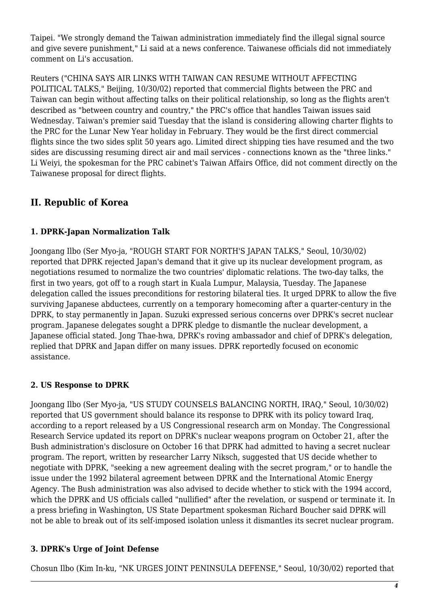Taipei. "We strongly demand the Taiwan administration immediately find the illegal signal source and give severe punishment," Li said at a news conference. Taiwanese officials did not immediately comment on Li's accusation.

Reuters ("CHINA SAYS AIR LINKS WITH TAIWAN CAN RESUME WITHOUT AFFECTING POLITICAL TALKS," Beijing, 10/30/02) reported that commercial flights between the PRC and Taiwan can begin without affecting talks on their political relationship, so long as the flights aren't described as "between country and country," the PRC's office that handles Taiwan issues said Wednesday. Taiwan's premier said Tuesday that the island is considering allowing charter flights to the PRC for the Lunar New Year holiday in February. They would be the first direct commercial flights since the two sides split 50 years ago. Limited direct shipping ties have resumed and the two sides are discussing resuming direct air and mail services - connections known as the "three links." Li Weiyi, the spokesman for the PRC cabinet's Taiwan Affairs Office, did not comment directly on the Taiwanese proposal for direct flights.

# <span id="page-3-0"></span>**II. Republic of Korea**

# <span id="page-3-1"></span>**1. DPRK-Japan Normalization Talk**

Joongang Ilbo (Ser Myo-ja, "ROUGH START FOR NORTH'S JAPAN TALKS," Seoul, 10/30/02) reported that DPRK rejected Japan's demand that it give up its nuclear development program, as negotiations resumed to normalize the two countries' diplomatic relations. The two-day talks, the first in two years, got off to a rough start in Kuala Lumpur, Malaysia, Tuesday. The Japanese delegation called the issues preconditions for restoring bilateral ties. It urged DPRK to allow the five surviving Japanese abductees, currently on a temporary homecoming after a quarter-century in the DPRK, to stay permanently in Japan. Suzuki expressed serious concerns over DPRK's secret nuclear program. Japanese delegates sought a DPRK pledge to dismantle the nuclear development, a Japanese official stated. Jong Thae-hwa, DPRK's roving ambassador and chief of DPRK's delegation, replied that DPRK and Japan differ on many issues. DPRK reportedly focused on economic assistance.

### <span id="page-3-2"></span>**2. US Response to DPRK**

Joongang Ilbo (Ser Myo-ja, "US STUDY COUNSELS BALANCING NORTH, IRAQ," Seoul, 10/30/02) reported that US government should balance its response to DPRK with its policy toward Iraq, according to a report released by a US Congressional research arm on Monday. The Congressional Research Service updated its report on DPRK's nuclear weapons program on October 21, after the Bush administration's disclosure on October 16 that DPRK had admitted to having a secret nuclear program. The report, written by researcher Larry Niksch, suggested that US decide whether to negotiate with DPRK, "seeking a new agreement dealing with the secret program," or to handle the issue under the 1992 bilateral agreement between DPRK and the International Atomic Energy Agency. The Bush administration was also advised to decide whether to stick with the 1994 accord, which the DPRK and US officials called "nullified" after the revelation, or suspend or terminate it. In a press briefing in Washington, US State Department spokesman Richard Boucher said DPRK will not be able to break out of its self-imposed isolation unless it dismantles its secret nuclear program.

# <span id="page-3-3"></span>**3. DPRK's Urge of Joint Defense**

Chosun Ilbo (Kim In-ku, "NK URGES JOINT PENINSULA DEFENSE," Seoul, 10/30/02) reported that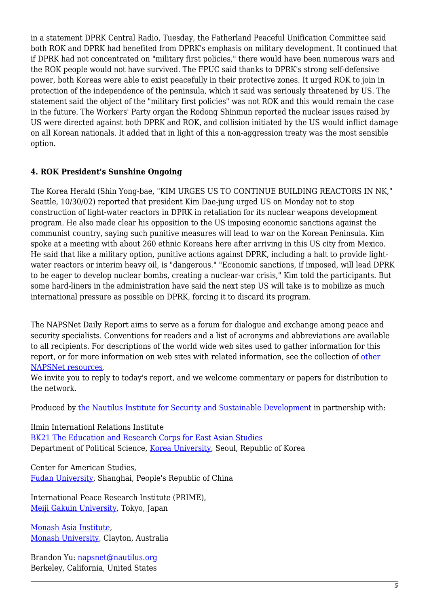in a statement DPRK Central Radio, Tuesday, the Fatherland Peaceful Unification Committee said both ROK and DPRK had benefited from DPRK's emphasis on military development. It continued that if DPRK had not concentrated on "military first policies," there would have been numerous wars and the ROK people would not have survived. The FPUC said thanks to DPRK's strong self-defensive power, both Koreas were able to exist peacefully in their protective zones. It urged ROK to join in protection of the independence of the peninsula, which it said was seriously threatened by US. The statement said the object of the "military first policies" was not ROK and this would remain the case in the future. The Workers' Party organ the Rodong Shinmun reported the nuclear issues raised by US were directed against both DPRK and ROK, and collision initiated by the US would inflict damage on all Korean nationals. It added that in light of this a non-aggression treaty was the most sensible option.

### <span id="page-4-0"></span>**4. ROK President's Sunshine Ongoing**

The Korea Herald (Shin Yong-bae, "KIM URGES US TO CONTINUE BUILDING REACTORS IN NK," Seattle, 10/30/02) reported that president Kim Dae-jung urged US on Monday not to stop construction of light-water reactors in DPRK in retaliation for its nuclear weapons development program. He also made clear his opposition to the US imposing economic sanctions against the communist country, saying such punitive measures will lead to war on the Korean Peninsula. Kim spoke at a meeting with about 260 ethnic Koreans here after arriving in this US city from Mexico. He said that like a military option, punitive actions against DPRK, including a halt to provide lightwater reactors or interim heavy oil, is "dangerous." "Economic sanctions, if imposed, will lead DPRK to be eager to develop nuclear bombs, creating a nuclear-war crisis," Kim told the participants. But some hard-liners in the administration have said the next step US will take is to mobilize as much international pressure as possible on DPRK, forcing it to discard its program.

The NAPSNet Daily Report aims to serve as a forum for dialogue and exchange among peace and security specialists. Conventions for readers and a list of acronyms and abbreviations are available to all recipients. For descriptions of the world wide web sites used to gather information for this report, or for more information on web sites with related information, see the collection of [other](http://nautilus.org/kiosk/weblinks.html) [NAPSNet resources.](http://nautilus.org/kiosk/weblinks.html)

We invite you to reply to today's report, and we welcome commentary or papers for distribution to the network.

Produced by [the Nautilus Institute for Security and Sustainable Development](http://nautilus.org/admin/about.html) in partnership with:

Ilmin Internationl Relations Institute [BK21 The Education and Research Corps for East Asian Studies](http://web.korea.ac.kr/~politics/index.html) Department of Political Science, [Korea University,](http://www.korea.ac.kr/) Seoul, Republic of Korea

Center for American Studies, [Fudan University](http://www.fudan.edu.cn/English/nsindex.html), Shanghai, People's Republic of China

International Peace Research Institute (PRIME), [Meiji Gakuin University,](http://www.meijigakuin.ac.jp) Tokyo, Japan

[Monash Asia Institute,](http://www.adm.monash.edu.au) [Monash University](http://www.monash.edu.au/), Clayton, Australia

Brandon Yu: [napsnet@nautilus.org](mailto:napsnet@nautilus.org) Berkeley, California, United States